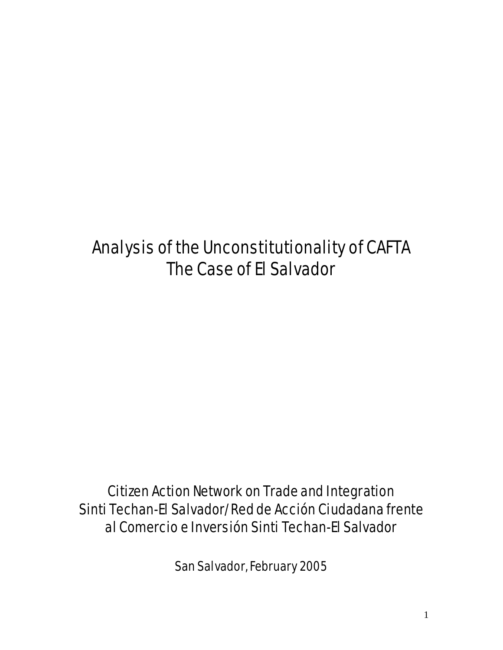# Analysis of the Unconstitutionality of CAFTA The Case of El Salvador

# Citizen Action Network on Trade and Integration Sinti Techan-El Salvador/Red de Acción Ciudadana frente al Comercio e Inversión Sinti Techan-El Salvador

San Salvador, February 2005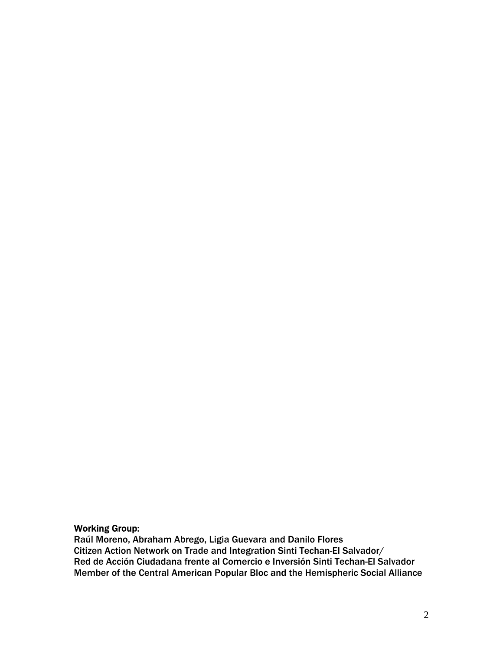#### Working Group:

Raúl Moreno, Abraham Abrego, Ligia Guevara and Danilo Flores Citizen Action Network on Trade and Integration Sinti Techan-El Salvador/ Red de Acción Ciudadana frente al Comercio e Inversión Sinti Techan-El Salvador Member of the Central American Popular Bloc and the Hemispheric Social Alliance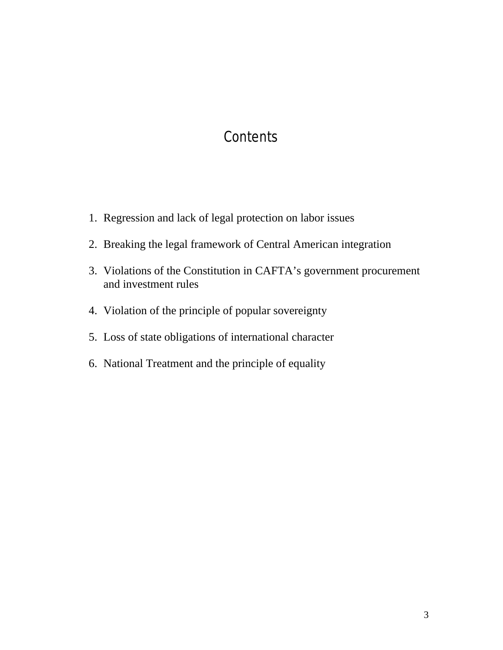#### **Contents**

- 1. Regression and lack of legal protection on labor issues
- 2. Breaking the legal framework of Central American integration
- 3. Violations of the Constitution in CAFTA's government procurement and investment rules
- 4. Violation of the principle of popular sovereignty
- 5. Loss of state obligations of international character
- 6. National Treatment and the principle of equality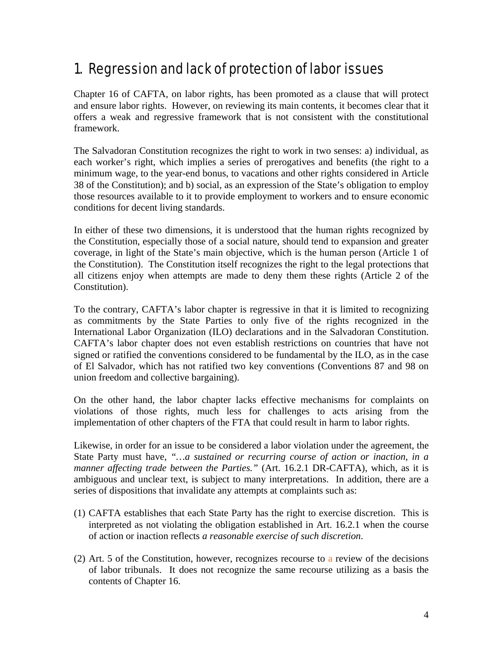#### 1. Regression and lack of protection of labor issues

Chapter 16 of CAFTA, on labor rights, has been promoted as a clause that will protect and ensure labor rights. However, on reviewing its main contents, it becomes clear that it offers a weak and regressive framework that is not consistent with the constitutional framework.

The Salvadoran Constitution recognizes the right to work in two senses: a) individual, as each worker's right, which implies a series of prerogatives and benefits (the right to a minimum wage, to the year-end bonus, to vacations and other rights considered in Article 38 of the Constitution); and b) social, as an expression of the State's obligation to employ those resources available to it to provide employment to workers and to ensure economic conditions for decent living standards.

In either of these two dimensions, it is understood that the human rights recognized by the Constitution, especially those of a social nature, should tend to expansion and greater coverage, in light of the State's main objective, which is the human person (Article 1 of the Constitution). The Constitution itself recognizes the right to the legal protections that all citizens enjoy when attempts are made to deny them these rights (Article 2 of the Constitution).

To the contrary, CAFTA's labor chapter is regressive in that it is limited to recognizing as commitments by the State Parties to only five of the rights recognized in the International Labor Organization (ILO) declarations and in the Salvadoran Constitution. CAFTA's labor chapter does not even establish restrictions on countries that have not signed or ratified the conventions considered to be fundamental by the ILO, as in the case of El Salvador, which has not ratified two key conventions (Conventions 87 and 98 on union freedom and collective bargaining).

On the other hand, the labor chapter lacks effective mechanisms for complaints on violations of those rights, much less for challenges to acts arising from the implementation of other chapters of the FTA that could result in harm to labor rights.

Likewise, in order for an issue to be considered a labor violation under the agreement, the State Party must have, *"…a sustained or recurring course of action or inaction, in a manner affecting trade between the Parties."* (Art. 16.2.1 DR-CAFTA), which, as it is ambiguous and unclear text, is subject to many interpretations. In addition, there are a series of dispositions that invalidate any attempts at complaints such as:

- (1) CAFTA establishes that each State Party has the right to exercise discretion. This is interpreted as not violating the obligation established in Art. 16.2.1 when the course of action or inaction reflects *a reasonable exercise of such discretion*.
- (2) Art. 5 of the Constitution, however, recognizes recourse to a review of the decisions of labor tribunals. It does not recognize the same recourse utilizing as a basis the contents of Chapter 16.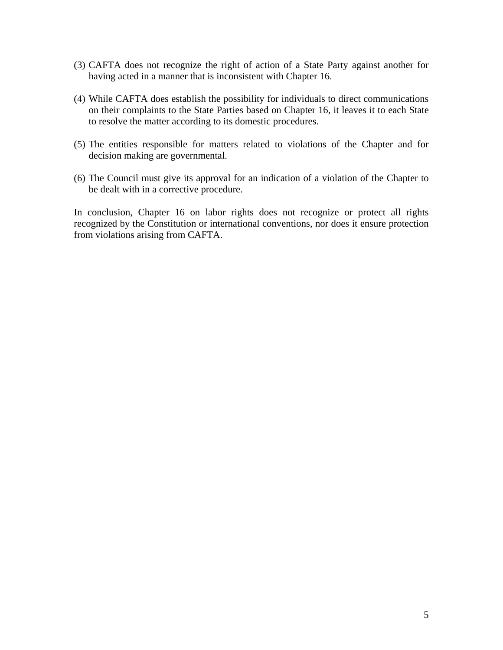- (3) CAFTA does not recognize the right of action of a State Party against another for having acted in a manner that is inconsistent with Chapter 16.
- (4) While CAFTA does establish the possibility for individuals to direct communications on their complaints to the State Parties based on Chapter 16, it leaves it to each State to resolve the matter according to its domestic procedures.
- (5) The entities responsible for matters related to violations of the Chapter and for decision making are governmental.
- (6) The Council must give its approval for an indication of a violation of the Chapter to be dealt with in a corrective procedure.

In conclusion, Chapter 16 on labor rights does not recognize or protect all rights recognized by the Constitution or international conventions, nor does it ensure protection from violations arising from CAFTA.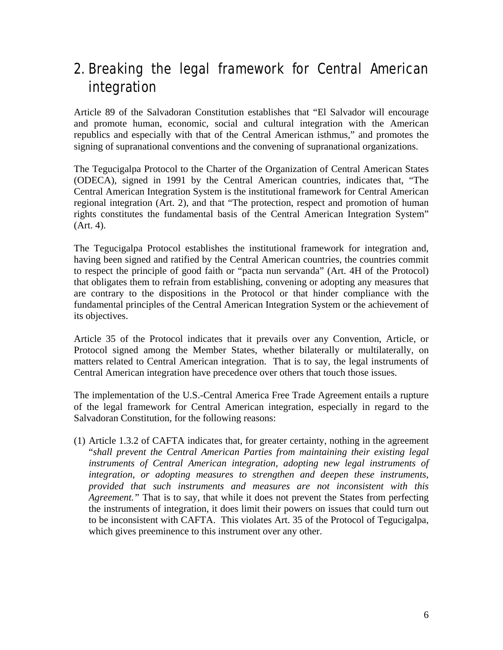### 2. Breaking the legal framework for Central American integration

Article 89 of the Salvadoran Constitution establishes that "El Salvador will encourage and promote human, economic, social and cultural integration with the American republics and especially with that of the Central American isthmus," and promotes the signing of supranational conventions and the convening of supranational organizations.

The Tegucigalpa Protocol to the Charter of the Organization of Central American States (ODECA), signed in 1991 by the Central American countries, indicates that, "The Central American Integration System is the institutional framework for Central American regional integration (Art. 2), and that "The protection, respect and promotion of human rights constitutes the fundamental basis of the Central American Integration System" (Art. 4).

The Tegucigalpa Protocol establishes the institutional framework for integration and, having been signed and ratified by the Central American countries, the countries commit to respect the principle of good faith or "pacta nun servanda" (Art. 4H of the Protocol) that obligates them to refrain from establishing, convening or adopting any measures that are contrary to the dispositions in the Protocol or that hinder compliance with the fundamental principles of the Central American Integration System or the achievement of its objectives.

Article 35 of the Protocol indicates that it prevails over any Convention, Article, or Protocol signed among the Member States, whether bilaterally or multilaterally, on matters related to Central American integration. That is to say, the legal instruments of Central American integration have precedence over others that touch those issues.

The implementation of the U.S.-Central America Free Trade Agreement entails a rupture of the legal framework for Central American integration, especially in regard to the Salvadoran Constitution, for the following reasons:

(1) Article 1.3.2 of CAFTA indicates that, for greater certainty, nothing in the agreement "*shall prevent the Central American Parties from maintaining their existing legal instruments of Central American integration, adopting new legal instruments of integration, or adopting measures to strengthen and deepen these instruments, provided that such instruments and measures are not inconsistent with this Agreement."* That is to say, that while it does not prevent the States from perfecting the instruments of integration, it does limit their powers on issues that could turn out to be inconsistent with CAFTA. This violates Art. 35 of the Protocol of Tegucigalpa, which gives preeminence to this instrument over any other.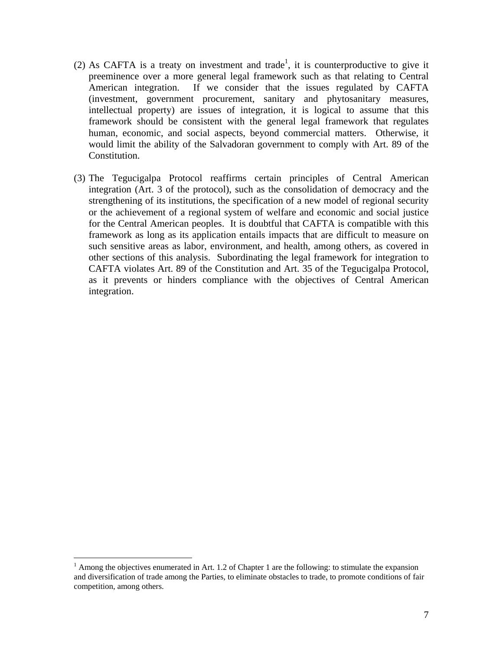- (2) As CAFTA is a treaty on investment and trade<sup>1</sup>, it is counterproductive to give it preeminence over a more general legal framework such as that relating to Central American integration. If we consider that the issues regulated by CAFTA (investment, government procurement, sanitary and phytosanitary measures, intellectual property) are issues of integration, it is logical to assume that this framework should be consistent with the general legal framework that regulates human, economic, and social aspects, beyond commercial matters. Otherwise, it would limit the ability of the Salvadoran government to comply with Art. 89 of the Constitution.
- (3) The Tegucigalpa Protocol reaffirms certain principles of Central American integration (Art. 3 of the protocol), such as the consolidation of democracy and the strengthening of its institutions, the specification of a new model of regional security or the achievement of a regional system of welfare and economic and social justice for the Central American peoples. It is doubtful that CAFTA is compatible with this framework as long as its application entails impacts that are difficult to measure on such sensitive areas as labor, environment, and health, among others, as covered in other sections of this analysis. Subordinating the legal framework for integration to CAFTA violates Art. 89 of the Constitution and Art. 35 of the Tegucigalpa Protocol, as it prevents or hinders compliance with the objectives of Central American integration.

 $\overline{a}$ 

 $<sup>1</sup>$  Among the objectives enumerated in Art. 1.2 of Chapter 1 are the following: to stimulate the expansion</sup> and diversification of trade among the Parties, to eliminate obstacles to trade, to promote conditions of fair competition, among others.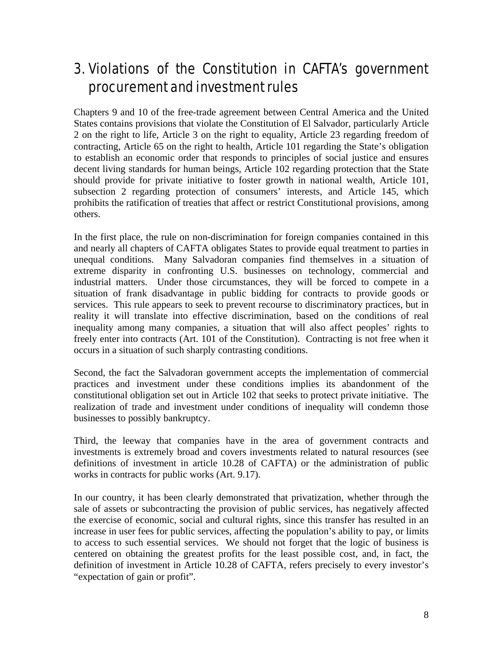### 3. Violations of the Constitution in CAFTA's government procurement and investment rules

Chapters 9 and 10 of the free-trade agreement between Central America and the United States contains provisions that violate the Constitution of El Salvador, particularly Article 2 on the right to life, Article 3 on the right to equality, Article 23 regarding freedom of contracting, Article 65 on the right to health, Article 101 regarding the State's obligation to establish an economic order that responds to principles of social justice and ensures decent living standards for human beings, Article 102 regarding protection that the State should provide for private initiative to foster growth in national wealth, Article 101, subsection 2 regarding protection of consumers' interests, and Article 145, which prohibits the ratification of treaties that affect or restrict Constitutional provisions, among others.

In the first place, the rule on non-discrimination for foreign companies contained in this and nearly all chapters of CAFTA obligates States to provide equal treatment to parties in unequal conditions. Many Salvadoran companies find themselves in a situation of extreme disparity in confronting U.S. businesses on technology, commercial and industrial matters. Under those circumstances, they will be forced to compete in a situation of frank disadvantage in public bidding for contracts to provide goods or services. This rule appears to seek to prevent recourse to discriminatory practices, but in reality it will translate into effective discrimination, based on the conditions of real inequality among many companies, a situation that will also affect peoples' rights to freely enter into contracts (Art. 101 of the Constitution). Contracting is not free when it occurs in a situation of such sharply contrasting conditions.

Second, the fact the Salvadoran government accepts the implementation of commercial practices and investment under these conditions implies its abandonment of the constitutional obligation set out in Article 102 that seeks to protect private initiative. The realization of trade and investment under conditions of inequality will condemn those businesses to possibly bankruptcy.

Third, the leeway that companies have in the area of government contracts and investments is extremely broad and covers investments related to natural resources (see definitions of investment in article 10.28 of CAFTA) or the administration of public works in contracts for public works (Art. 9.17).

In our country, it has been clearly demonstrated that privatization, whether through the sale of assets or subcontracting the provision of public services, has negatively affected the exercise of economic, social and cultural rights, since this transfer has resulted in an increase in user fees for public services, affecting the population's ability to pay, or limits to access to such essential services. We should not forget that the logic of business is centered on obtaining the greatest profits for the least possible cost, and, in fact, the definition of investment in Article 10.28 of CAFTA, refers precisely to every investor's "expectation of gain or profit".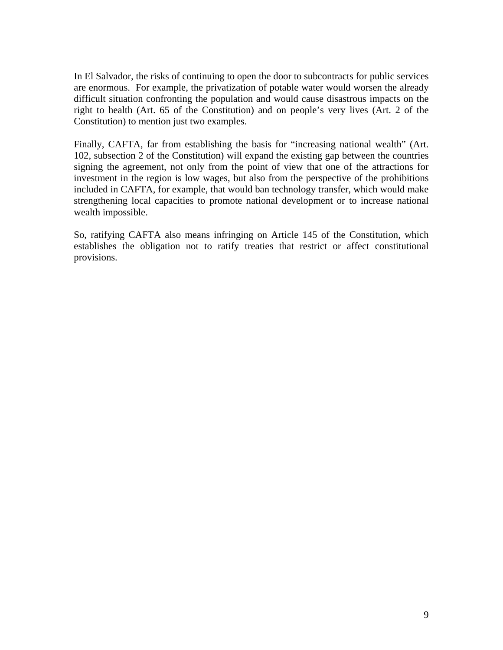In El Salvador, the risks of continuing to open the door to subcontracts for public services are enormous. For example, the privatization of potable water would worsen the already difficult situation confronting the population and would cause disastrous impacts on the right to health (Art. 65 of the Constitution) and on people's very lives (Art. 2 of the Constitution) to mention just two examples.

Finally, CAFTA, far from establishing the basis for "increasing national wealth" (Art. 102, subsection 2 of the Constitution) will expand the existing gap between the countries signing the agreement, not only from the point of view that one of the attractions for investment in the region is low wages, but also from the perspective of the prohibitions included in CAFTA, for example, that would ban technology transfer, which would make strengthening local capacities to promote national development or to increase national wealth impossible.

So, ratifying CAFTA also means infringing on Article 145 of the Constitution, which establishes the obligation not to ratify treaties that restrict or affect constitutional provisions.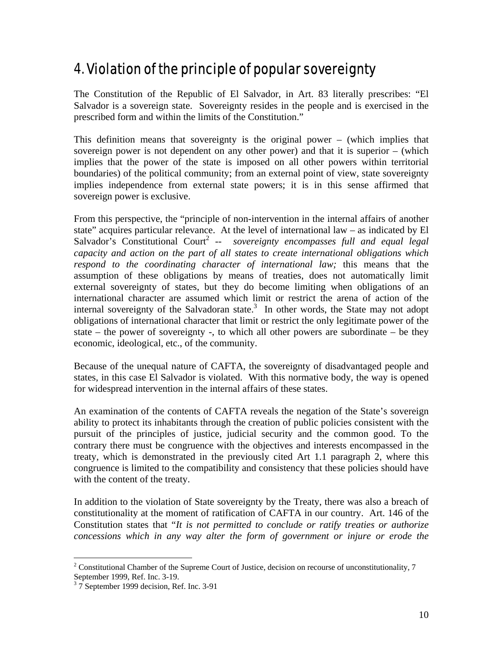## 4. Violation of the principle of popular sovereignty

The Constitution of the Republic of El Salvador, in Art. 83 literally prescribes: "El Salvador is a sovereign state. Sovereignty resides in the people and is exercised in the prescribed form and within the limits of the Constitution."

This definition means that sovereignty is the original power – (which implies that sovereign power is not dependent on any other power) and that it is superior – (which implies that the power of the state is imposed on all other powers within territorial boundaries) of the political community; from an external point of view, state sovereignty implies independence from external state powers; it is in this sense affirmed that sovereign power is exclusive.

From this perspective, the "principle of non-intervention in the internal affairs of another state" acquires particular relevance. At the level of international law – as indicated by El Salvador's Constitutional Court<sup>2</sup> -- *sovereignty encompasses full and equal legal capacity and action on the part of all states to create international obligations which respond to the coordinating character of international law;* this means that the assumption of these obligations by means of treaties, does not automatically limit external sovereignty of states, but they do become limiting when obligations of an international character are assumed which limit or restrict the arena of action of the internal sovereignty of the Salvadoran state. $3$  In other words, the State may not adopt obligations of international character that limit or restrict the only legitimate power of the state – the power of sovereignty -, to which all other powers are subordinate – be they economic, ideological, etc., of the community.

Because of the unequal nature of CAFTA, the sovereignty of disadvantaged people and states, in this case El Salvador is violated. With this normative body, the way is opened for widespread intervention in the internal affairs of these states.

An examination of the contents of CAFTA reveals the negation of the State's sovereign ability to protect its inhabitants through the creation of public policies consistent with the pursuit of the principles of justice, judicial security and the common good. To the contrary there must be congruence with the objectives and interests encompassed in the treaty, which is demonstrated in the previously cited Art 1.1 paragraph 2, where this congruence is limited to the compatibility and consistency that these policies should have with the content of the treaty.

In addition to the violation of State sovereignty by the Treaty, there was also a breach of constitutionality at the moment of ratification of CAFTA in our country. Art. 146 of the Constitution states that "*It is not permitted to conclude or ratify treaties or authorize concessions which in any way alter the form of government or injure or erode the* 

 $\overline{a}$ <sup>2</sup> Constitutional Chamber of the Supreme Court of Justice, decision on recourse of unconstitutionality,  $7$ September 1999, Ref. Inc. 3-19.

 $3\overline{7}$  September 1999 decision, Ref. Inc. 3-91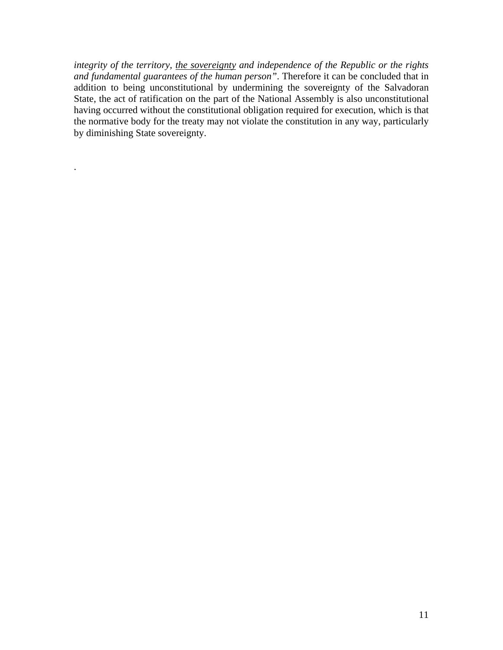*integrity of the territory, the sovereignty and independence of the Republic or the rights and fundamental guarantees of the human person"*. Therefore it can be concluded that in addition to being unconstitutional by undermining the sovereignty of the Salvadoran State, the act of ratification on the part of the National Assembly is also unconstitutional having occurred without the constitutional obligation required for execution, which is that the normative body for the treaty may not violate the constitution in any way, particularly by diminishing State sovereignty.

.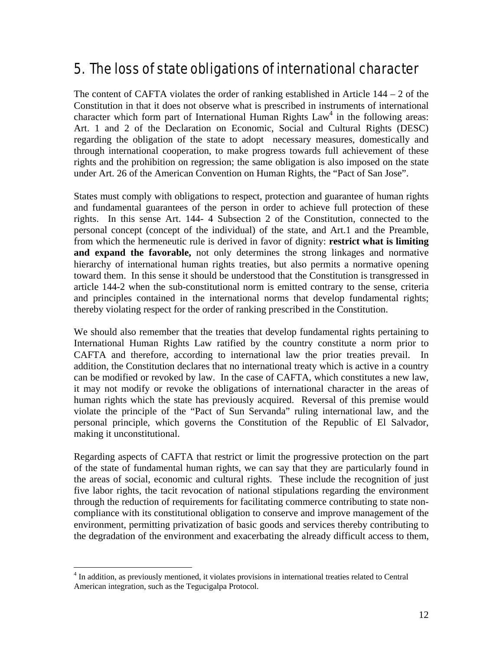#### 5. The loss of state obligations of international character

The content of CAFTA violates the order of ranking established in Article  $144 - 2$  of the Constitution in that it does not observe what is prescribed in instruments of international character which form part of International Human Rights  $Law<sup>4</sup>$  in the following areas: Art. 1 and 2 of the Declaration on Economic, Social and Cultural Rights (DESC) regarding the obligation of the state to adopt necessary measures, domestically and through international cooperation, to make progress towards full achievement of these rights and the prohibition on regression; the same obligation is also imposed on the state under Art. 26 of the American Convention on Human Rights, the "Pact of San Jose".

States must comply with obligations to respect, protection and guarantee of human rights and fundamental guarantees of the person in order to achieve full protection of these rights. In this sense Art. 144- 4 Subsection 2 of the Constitution, connected to the personal concept (concept of the individual) of the state, and Art.1 and the Preamble, from which the hermeneutic rule is derived in favor of dignity: **restrict what is limiting and expand the favorable,** not only determines the strong linkages and normative hierarchy of international human rights treaties, but also permits a normative opening toward them. In this sense it should be understood that the Constitution is transgressed in article 144-2 when the sub-constitutional norm is emitted contrary to the sense, criteria and principles contained in the international norms that develop fundamental rights; thereby violating respect for the order of ranking prescribed in the Constitution.

We should also remember that the treaties that develop fundamental rights pertaining to International Human Rights Law ratified by the country constitute a norm prior to CAFTA and therefore, according to international law the prior treaties prevail. In addition, the Constitution declares that no international treaty which is active in a country can be modified or revoked by law. In the case of CAFTA, which constitutes a new law, it may not modify or revoke the obligations of international character in the areas of human rights which the state has previously acquired. Reversal of this premise would violate the principle of the "Pact of Sun Servanda" ruling international law, and the personal principle, which governs the Constitution of the Republic of El Salvador, making it unconstitutional.

Regarding aspects of CAFTA that restrict or limit the progressive protection on the part of the state of fundamental human rights, we can say that they are particularly found in the areas of social, economic and cultural rights. These include the recognition of just five labor rights, the tacit revocation of national stipulations regarding the environment through the reduction of requirements for facilitating commerce contributing to state noncompliance with its constitutional obligation to conserve and improve management of the environment, permitting privatization of basic goods and services thereby contributing to the degradation of the environment and exacerbating the already difficult access to them,

 4 In addition, as previously mentioned, it violates provisions in international treaties related to Central American integration, such as the Tegucigalpa Protocol.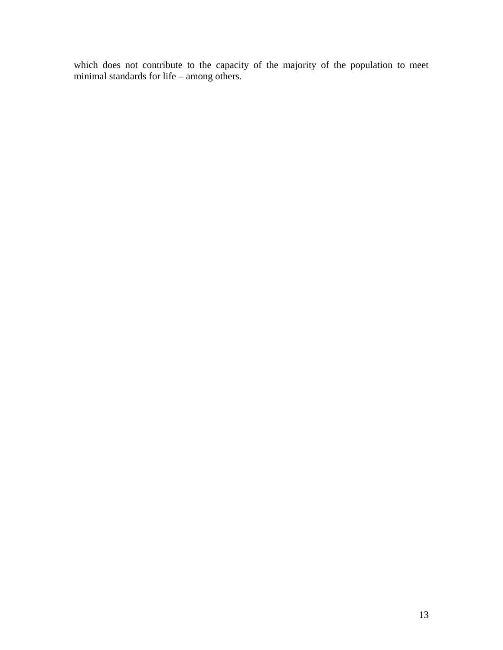which does not contribute to the capacity of the majority of the population to meet minimal standards for life – among others.